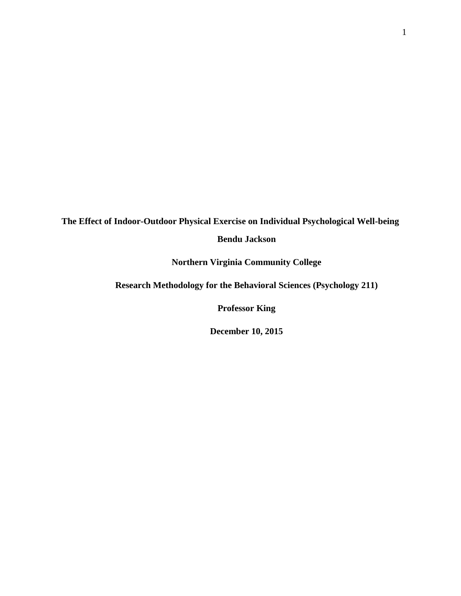# **The Effect of Indoor-Outdoor Physical Exercise on Individual Psychological Well-being Bendu Jackson**

**Northern Virginia Community College**

<span id="page-0-0"></span>**Research Methodology for the Behavioral Sciences (Psychology 211)**

**Professor King**

**December 10, 2015**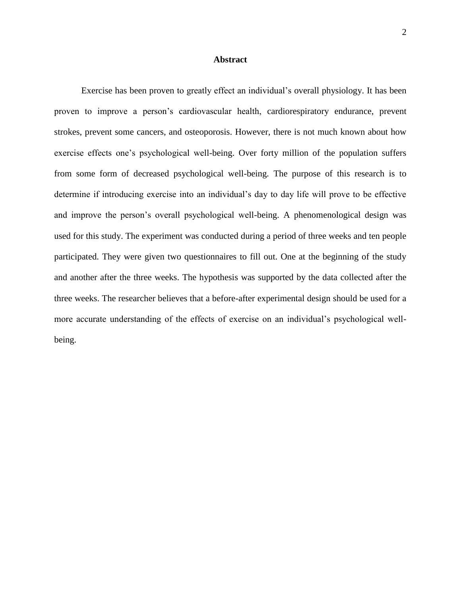#### **Abstract**

Exercise has been proven to greatly effect an individual's overall physiology. It has been proven to improve a person's cardiovascular health, cardiorespiratory endurance, prevent strokes, prevent some cancers, and osteoporosis. However, there is not much known about how exercise effects one's psychological well-being. Over forty million of the population suffers from some form of decreased psychological well-being. The purpose of this research is to determine if introducing exercise into an individual's day to day life will prove to be effective and improve the person's overall psychological well-being. A phenomenological design was used for this study. The experiment was conducted during a period of three weeks and ten people participated. They were given two questionnaires to fill out. One at the beginning of the study and another after the three weeks. The hypothesis was supported by the data collected after the three weeks. The researcher believes that a before-after experimental design should be used for a more accurate understanding of the effects of exercise on an individual's psychological wellbeing.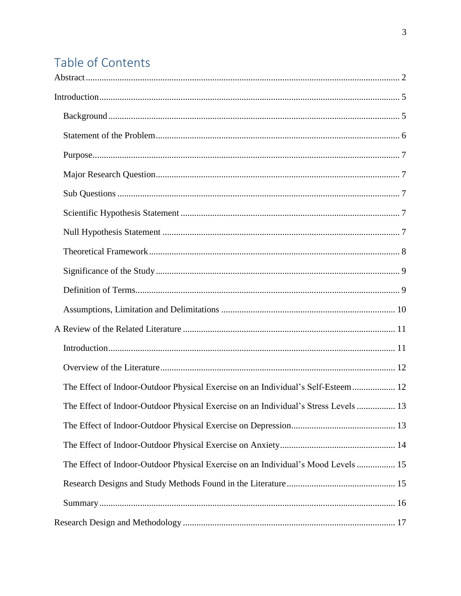# Table of Contents

| The Effect of Indoor-Outdoor Physical Exercise on an Individual's Self-Esteem  12   |  |
|-------------------------------------------------------------------------------------|--|
| The Effect of Indoor-Outdoor Physical Exercise on an Individual's Stress Levels  13 |  |
|                                                                                     |  |
|                                                                                     |  |
| The Effect of Indoor-Outdoor Physical Exercise on an Individual's Mood Levels  15   |  |
|                                                                                     |  |
|                                                                                     |  |
|                                                                                     |  |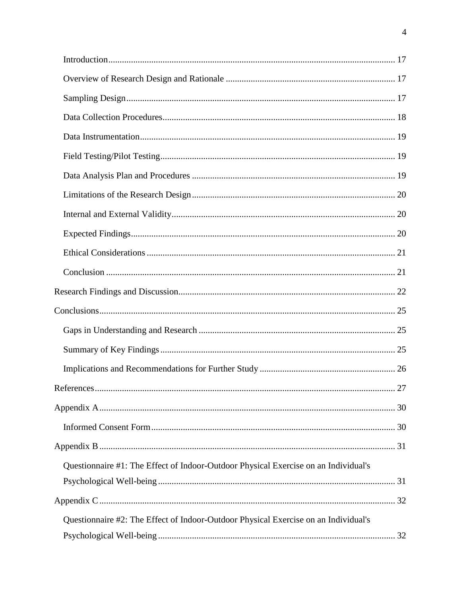| References                                                                          | 27 |
|-------------------------------------------------------------------------------------|----|
|                                                                                     |    |
|                                                                                     |    |
|                                                                                     |    |
| Questionnaire #1: The Effect of Indoor-Outdoor Physical Exercise on an Individual's |    |
|                                                                                     |    |
|                                                                                     |    |
| Questionnaire #2: The Effect of Indoor-Outdoor Physical Exercise on an Individual's |    |
|                                                                                     |    |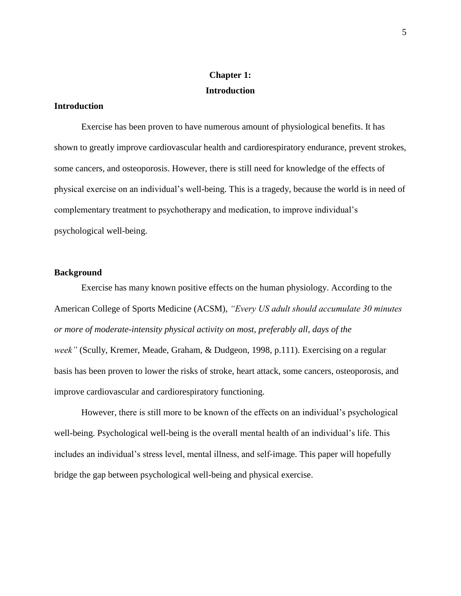# **Chapter 1: Introduction**

#### <span id="page-4-0"></span>**Introduction**

Exercise has been proven to have numerous amount of physiological benefits. It has shown to greatly improve cardiovascular health and cardiorespiratory endurance, prevent strokes, some cancers, and osteoporosis. However, there is still need for knowledge of the effects of physical exercise on an individual's well-being. This is a tragedy, because the world is in need of complementary treatment to psychotherapy and medication, to improve individual's psychological well-being.

#### <span id="page-4-1"></span>**Background**

Exercise has many known positive effects on the human physiology. According to the American College of Sports Medicine (ACSM), *"Every US adult should accumulate 30 minutes or more of moderate-intensity physical activity on most, preferably all, days of the week"* (Scully, Kremer, Meade, Graham, & Dudgeon, 1998, p.111). Exercising on a regular basis has been proven to lower the risks of stroke, heart attack, some cancers, osteoporosis, and improve cardiovascular and cardiorespiratory functioning.

However, there is still more to be known of the effects on an individual's psychological well-being. Psychological well-being is the overall mental health of an individual's life. This includes an individual's stress level, mental illness, and self-image. This paper will hopefully bridge the gap between psychological well-being and physical exercise.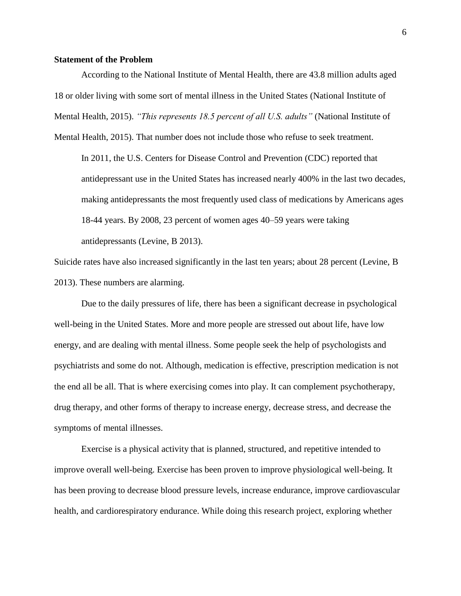#### <span id="page-5-0"></span>**Statement of the Problem**

According to the National Institute of Mental Health, there are 43.8 million adults aged 18 or older living with some sort of mental illness in the United States (National Institute of Mental Health, 2015). *"This represents 18.5 percent of all U.S. adults"* (National Institute of

Mental Health, 2015). That number does not include those who refuse to seek treatment.

In 2011, the U.S. Centers for Disease Control and Prevention (CDC) reported that antidepressant use in the United States has increased nearly 400% in the last two decades, making antidepressants the most frequently used class of medications by Americans ages 18-44 years. By 2008, 23 percent of women ages 40–59 years were taking antidepressants (Levine, B 2013).

Suicide rates have also increased significantly in the last ten years; about 28 percent (Levine, B 2013). These numbers are alarming.

Due to the daily pressures of life, there has been a significant decrease in psychological well-being in the United States. More and more people are stressed out about life, have low energy, and are dealing with mental illness. Some people seek the help of psychologists and psychiatrists and some do not. Although, medication is effective, prescription medication is not the end all be all. That is where exercising comes into play. It can complement psychotherapy, drug therapy, and other forms of therapy to increase energy, decrease stress, and decrease the symptoms of mental illnesses.

Exercise is a physical activity that is planned, structured, and repetitive intended to improve overall well-being. Exercise has been proven to improve physiological well-being. It has been proving to decrease blood pressure levels, increase endurance, improve cardiovascular health, and cardiorespiratory endurance. While doing this research project, exploring whether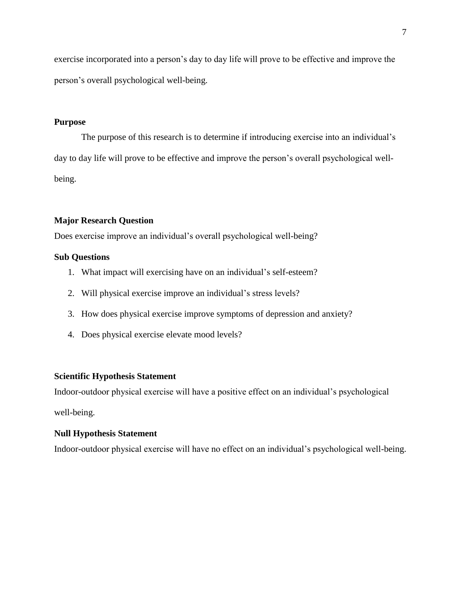exercise incorporated into a person's day to day life will prove to be effective and improve the person's overall psychological well-being.

#### <span id="page-6-0"></span>**Purpose**

The purpose of this research is to determine if introducing exercise into an individual's day to day life will prove to be effective and improve the person's overall psychological wellbeing.

#### <span id="page-6-1"></span>**Major Research Question**

Does exercise improve an individual's overall psychological well-being?

#### <span id="page-6-2"></span>**Sub Questions**

- 1. What impact will exercising have on an individual's self-esteem?
- 2. Will physical exercise improve an individual's stress levels?
- 3. How does physical exercise improve symptoms of depression and anxiety?
- 4. Does physical exercise elevate mood levels?

## <span id="page-6-3"></span>**Scientific Hypothesis Statement**

Indoor-outdoor physical exercise will have a positive effect on an individual's psychological

well-being.

#### <span id="page-6-4"></span>**Null Hypothesis Statement**

<span id="page-6-5"></span>Indoor-outdoor physical exercise will have no effect on an individual's psychological well-being.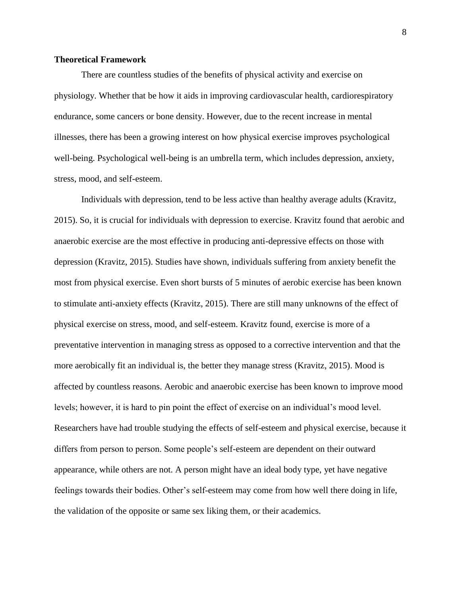#### **Theoretical Framework**

There are countless studies of the benefits of physical activity and exercise on physiology. Whether that be how it aids in improving cardiovascular health, cardiorespiratory endurance, some cancers or bone density. However, due to the recent increase in mental illnesses, there has been a growing interest on how physical exercise improves psychological well-being. Psychological well-being is an umbrella term, which includes depression, anxiety, stress, mood, and self-esteem.

<span id="page-7-0"></span>Individuals with depression, tend to be less active than healthy average adults (Kravitz, 2015). So, it is crucial for individuals with depression to exercise. Kravitz found that aerobic and anaerobic exercise are the most effective in producing anti-depressive effects on those with depression (Kravitz, 2015). Studies have shown, individuals suffering from anxiety benefit the most from physical exercise. Even short bursts of 5 minutes of aerobic exercise has been known to stimulate anti-anxiety effects (Kravitz, 2015). There are still many unknowns of the effect of physical exercise on stress, mood, and self-esteem. Kravitz found, exercise is more of a preventative intervention in managing stress as opposed to a corrective intervention and that the more aerobically fit an individual is, the better they manage stress (Kravitz, 2015). Mood is affected by countless reasons. Aerobic and anaerobic exercise has been known to improve mood levels; however, it is hard to pin point the effect of exercise on an individual's mood level. Researchers have had trouble studying the effects of self-esteem and physical exercise, because it differs from person to person. Some people's self-esteem are dependent on their outward appearance, while others are not. A person might have an ideal body type, yet have negative feelings towards their bodies. Other's self-esteem may come from how well there doing in life, the validation of the opposite or same sex liking them, or their academics.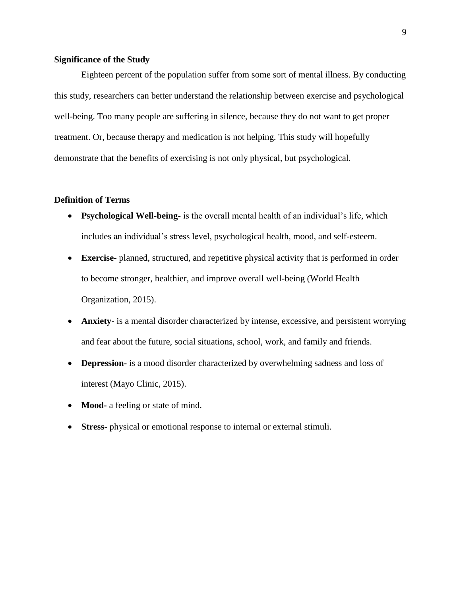#### **Significance of the Study**

Eighteen percent of the population suffer from some sort of mental illness. By conducting this study, researchers can better understand the relationship between exercise and psychological well-being. Too many people are suffering in silence, because they do not want to get proper treatment. Or, because therapy and medication is not helping. This study will hopefully demonstrate that the benefits of exercising is not only physical, but psychological.

### <span id="page-8-0"></span>**Definition of Terms**

- **Psychological Well-being-** is the overall mental health of an individual's life, which includes an individual's stress level, psychological health, mood, and self-esteem.
- **Exercise-** planned, structured, and repetitive physical activity that is performed in order to become stronger, healthier, and improve overall well-being (World Health Organization, 2015).
- **Anxiety-** is a mental disorder characterized by intense, excessive, and persistent worrying and fear about the future, social situations, school, work, and family and friends.
- **Depression-** is a mood disorder characterized by overwhelming sadness and loss of interest (Mayo Clinic, 2015).
- **Mood-** a feeling or state of mind.
- **Stress-** physical or emotional response to internal or external stimuli.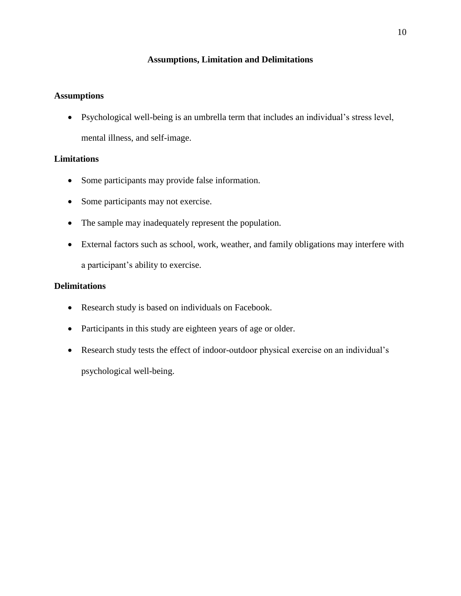# **Assumptions, Limitation and Delimitations**

# <span id="page-9-0"></span>**Assumptions**

 Psychological well-being is an umbrella term that includes an individual's stress level, mental illness, and self-image.

# **Limitations**

- Some participants may provide false information.
- Some participants may not exercise.
- The sample may inadequately represent the population.
- External factors such as school, work, weather, and family obligations may interfere with a participant's ability to exercise.

# **Delimitations**

- Research study is based on individuals on Facebook.
- Participants in this study are eighteen years of age or older.
- Research study tests the effect of indoor-outdoor physical exercise on an individual's psychological well-being.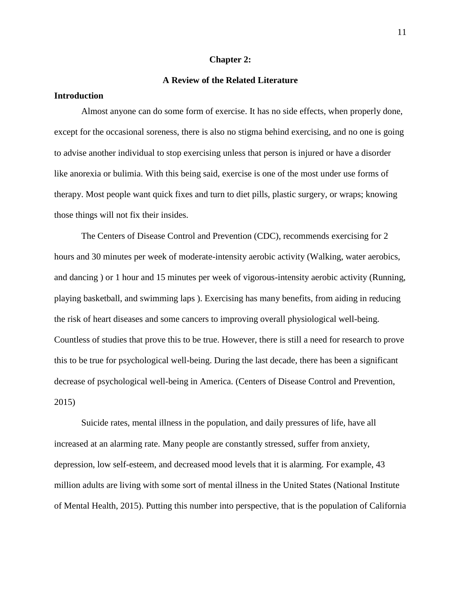#### **Chapter 2:**

# **A Review of the Related Literature**

# <span id="page-10-1"></span><span id="page-10-0"></span>**Introduction**

Almost anyone can do some form of exercise. It has no side effects, when properly done, except for the occasional soreness, there is also no stigma behind exercising, and no one is going to advise another individual to stop exercising unless that person is injured or have a disorder like anorexia or bulimia. With this being said, exercise is one of the most under use forms of therapy. Most people want quick fixes and turn to diet pills, plastic surgery, or wraps; knowing those things will not fix their insides.

The Centers of Disease Control and Prevention (CDC), recommends exercising for 2 hours and 30 minutes per week of moderate-intensity aerobic activity (Walking, water aerobics, and dancing ) or 1 hour and 15 minutes per week of vigorous-intensity aerobic activity (Running, playing basketball, and swimming laps ). Exercising has many benefits, from aiding in reducing the risk of heart diseases and some cancers to improving overall physiological well-being. Countless of studies that prove this to be true. However, there is still a need for research to prove this to be true for psychological well-being. During the last decade, there has been a significant decrease of psychological well-being in America. (Centers of Disease Control and Prevention, 2015)

Suicide rates, mental illness in the population, and daily pressures of life, have all increased at an alarming rate. Many people are constantly stressed, suffer from anxiety, depression, low self-esteem, and decreased mood levels that it is alarming. For example, 43 million adults are living with some sort of mental illness in the United States (National Institute of Mental Health, 2015). Putting this number into perspective, that is the population of California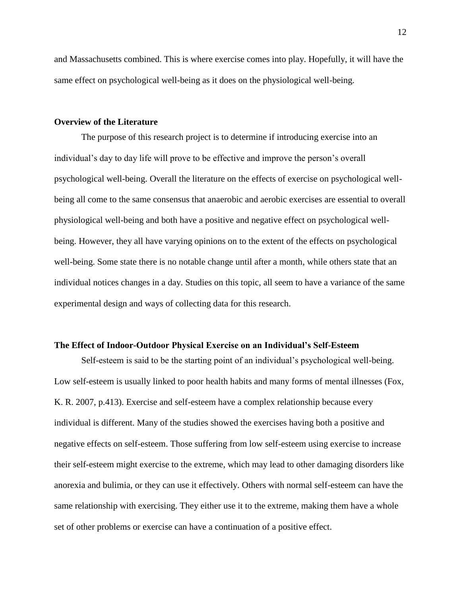and Massachusetts combined. This is where exercise comes into play. Hopefully, it will have the same effect on psychological well-being as it does on the physiological well-being.

#### <span id="page-11-0"></span>**Overview of the Literature**

The purpose of this research project is to determine if introducing exercise into an individual's day to day life will prove to be effective and improve the person's overall psychological well-being. Overall the literature on the effects of exercise on psychological wellbeing all come to the same consensus that anaerobic and aerobic exercises are essential to overall physiological well-being and both have a positive and negative effect on psychological wellbeing. However, they all have varying opinions on to the extent of the effects on psychological well-being. Some state there is no notable change until after a month, while others state that an individual notices changes in a day. Studies on this topic, all seem to have a variance of the same experimental design and ways of collecting data for this research.

#### <span id="page-11-1"></span>**The Effect of Indoor-Outdoor Physical Exercise on an Individual's Self-Esteem**

Self-esteem is said to be the starting point of an individual's psychological well-being. Low self-esteem is usually linked to poor health habits and many forms of mental illnesses (Fox, K. R. 2007, p.413). Exercise and self-esteem have a complex relationship because every individual is different. Many of the studies showed the exercises having both a positive and negative effects on self-esteem. Those suffering from low self-esteem using exercise to increase their self-esteem might exercise to the extreme, which may lead to other damaging disorders like anorexia and bulimia, or they can use it effectively. Others with normal self-esteem can have the same relationship with exercising. They either use it to the extreme, making them have a whole set of other problems or exercise can have a continuation of a positive effect.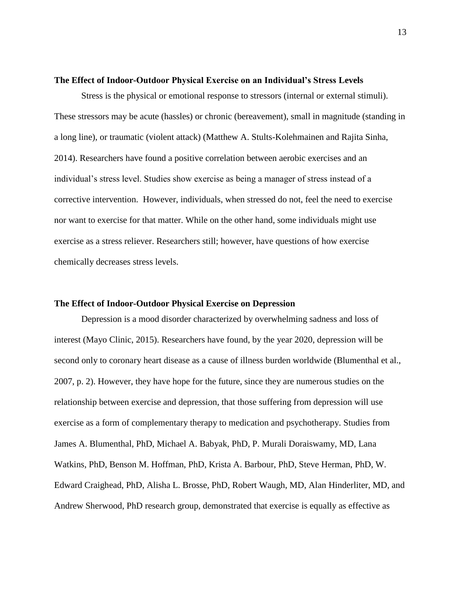#### <span id="page-12-0"></span>**The Effect of Indoor-Outdoor Physical Exercise on an Individual's Stress Levels**

Stress is the physical or emotional response to stressors (internal or external stimuli). These stressors may be acute (hassles) or chronic (bereavement), small in magnitude (standing in a long line), or traumatic (violent attack) (Matthew A. Stults-Kolehmainen and Rajita Sinha, 2014). Researchers have found a positive correlation between aerobic exercises and an individual's stress level. Studies show exercise as being a manager of stress instead of a corrective intervention. However, individuals, when stressed do not, feel the need to exercise nor want to exercise for that matter. While on the other hand, some individuals might use exercise as a stress reliever. Researchers still; however, have questions of how exercise chemically decreases stress levels.

#### <span id="page-12-1"></span>**The Effect of Indoor-Outdoor Physical Exercise on Depression**

Depression is a mood disorder characterized by overwhelming sadness and loss of interest (Mayo Clinic, 2015). Researchers have found, by the year 2020, depression will be second only to coronary heart disease as a cause of illness burden worldwide (Blumenthal et al., 2007, p. 2). However, they have hope for the future, since they are numerous studies on the relationship between exercise and depression, that those suffering from depression will use exercise as a form of complementary therapy to medication and psychotherapy. Studies from James A. Blumenthal, PhD, Michael A. Babyak, PhD, P. Murali Doraiswamy, MD, Lana Watkins, PhD, Benson M. Hoffman, PhD, Krista A. Barbour, PhD, Steve Herman, PhD, W. Edward Craighead, PhD, Alisha L. Brosse, PhD, Robert Waugh, MD, Alan Hinderliter, MD, and Andrew Sherwood, PhD research group, demonstrated that exercise is equally as effective as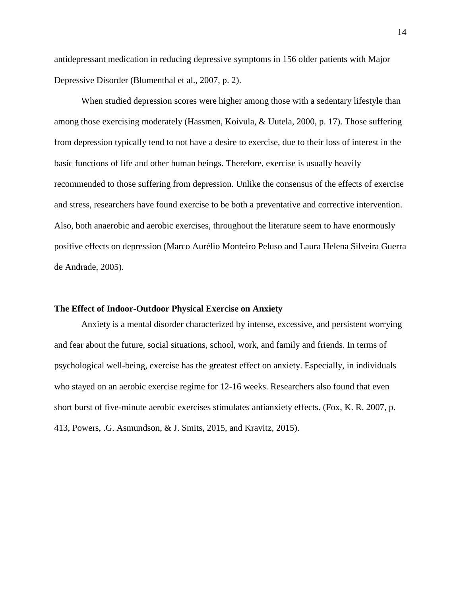antidepressant medication in reducing depressive symptoms in 156 older patients with Major Depressive Disorder (Blumenthal et al., 2007, p. 2).

When studied depression scores were higher among those with a sedentary lifestyle than among those exercising moderately (Hassmen, Koivula, & Uutela, 2000, p. 17). Those suffering from depression typically tend to not have a desire to exercise, due to their loss of interest in the basic functions of life and other human beings. Therefore, exercise is usually heavily recommended to those suffering from depression. Unlike the consensus of the effects of exercise and stress, researchers have found exercise to be both a preventative and corrective intervention. Also, both anaerobic and aerobic exercises, throughout the literature seem to have enormously positive effects on depression (Marco Aurélio Monteiro Peluso and Laura Helena Silveira Guerra de Andrade, 2005).

#### <span id="page-13-0"></span>**The Effect of Indoor-Outdoor Physical Exercise on Anxiety**

<span id="page-13-1"></span>Anxiety is a mental disorder characterized by intense, excessive, and persistent worrying and fear about the future, social situations, school, work, and family and friends. In terms of psychological well-being, exercise has the greatest effect on anxiety. Especially, in individuals who stayed on an aerobic exercise regime for 12-16 weeks. Researchers also found that even short burst of five-minute aerobic exercises stimulates antianxiety effects. (Fox, K. R. 2007, p. 413, Powers, .G. Asmundson, & J. Smits, 2015, and Kravitz, 2015).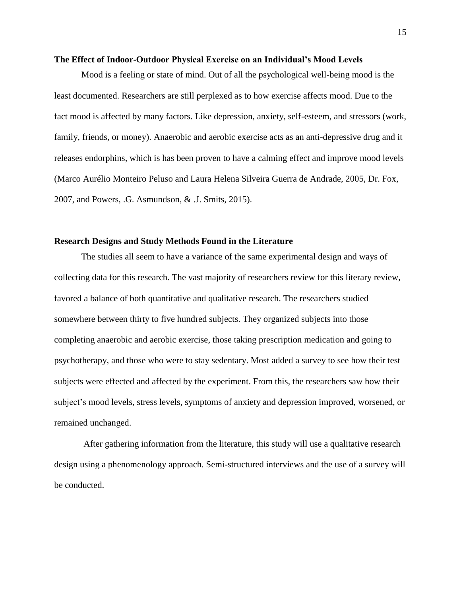#### **The Effect of Indoor-Outdoor Physical Exercise on an Individual's Mood Levels**

Mood is a feeling or state of mind. Out of all the psychological well-being mood is the least documented. Researchers are still perplexed as to how exercise affects mood. Due to the fact mood is affected by many factors. Like depression, anxiety, self-esteem, and stressors (work, family, friends, or money). Anaerobic and aerobic exercise acts as an anti-depressive drug and it releases endorphins, which is has been proven to have a calming effect and improve mood levels (Marco Aurélio Monteiro Peluso and Laura Helena Silveira Guerra de Andrade, 2005, Dr. Fox, 2007, and Powers, .G. Asmundson, & .J. Smits, 2015).

#### <span id="page-14-0"></span>**Research Designs and Study Methods Found in the Literature**

The studies all seem to have a variance of the same experimental design and ways of collecting data for this research. The vast majority of researchers review for this literary review, favored a balance of both quantitative and qualitative research. The researchers studied somewhere between thirty to five hundred subjects. They organized subjects into those completing anaerobic and aerobic exercise, those taking prescription medication and going to psychotherapy, and those who were to stay sedentary. Most added a survey to see how their test subjects were effected and affected by the experiment. From this, the researchers saw how their subject's mood levels, stress levels, symptoms of anxiety and depression improved, worsened, or remained unchanged.

<span id="page-14-1"></span>After gathering information from the literature, this study will use a qualitative research design using a phenomenology approach. Semi-structured interviews and the use of a survey will be conducted.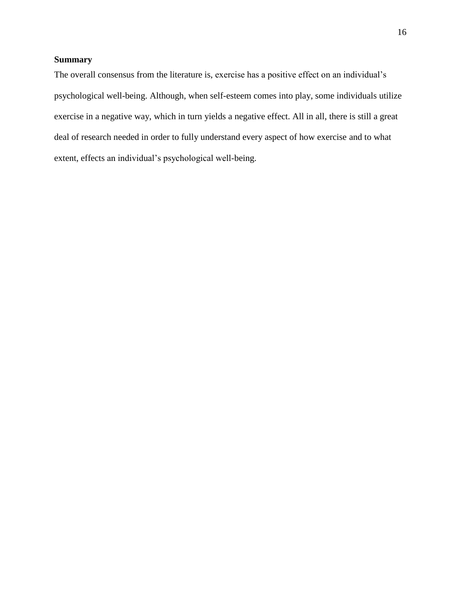### **Summary**

The overall consensus from the literature is, exercise has a positive effect on an individual's psychological well-being. Although, when self-esteem comes into play, some individuals utilize exercise in a negative way, which in turn yields a negative effect. All in all, there is still a great deal of research needed in order to fully understand every aspect of how exercise and to what extent, effects an individual's psychological well-being.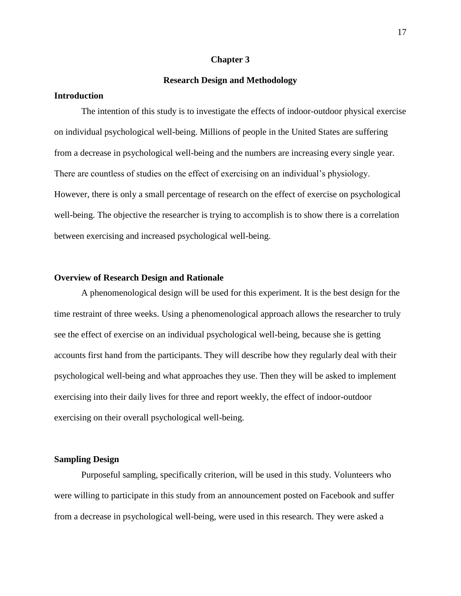#### **Chapter 3**

#### **Research Design and Methodology**

# <span id="page-16-1"></span><span id="page-16-0"></span>**Introduction**

The intention of this study is to investigate the effects of indoor-outdoor physical exercise on individual psychological well-being. Millions of people in the United States are suffering from a decrease in psychological well-being and the numbers are increasing every single year. There are countless of studies on the effect of exercising on an individual's physiology. However, there is only a small percentage of research on the effect of exercise on psychological well-being. The objective the researcher is trying to accomplish is to show there is a correlation between exercising and increased psychological well-being.

#### <span id="page-16-2"></span>**Overview of Research Design and Rationale**

A phenomenological design will be used for this experiment. It is the best design for the time restraint of three weeks. Using a phenomenological approach allows the researcher to truly see the effect of exercise on an individual psychological well-being, because she is getting accounts first hand from the participants. They will describe how they regularly deal with their psychological well-being and what approaches they use. Then they will be asked to implement exercising into their daily lives for three and report weekly, the effect of indoor-outdoor exercising on their overall psychological well-being.

#### <span id="page-16-3"></span>**Sampling Design**

Purposeful sampling, specifically criterion, will be used in this study. Volunteers who were willing to participate in this study from an announcement posted on Facebook and suffer from a decrease in psychological well-being, were used in this research. They were asked a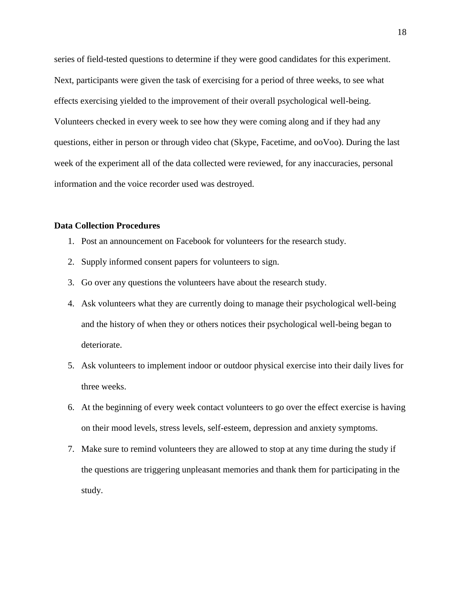series of field-tested questions to determine if they were good candidates for this experiment. Next, participants were given the task of exercising for a period of three weeks, to see what effects exercising yielded to the improvement of their overall psychological well-being. Volunteers checked in every week to see how they were coming along and if they had any questions, either in person or through video chat (Skype, Facetime, and ooVoo). During the last week of the experiment all of the data collected were reviewed, for any inaccuracies, personal information and the voice recorder used was destroyed.

# <span id="page-17-0"></span>**Data Collection Procedures**

- 1. Post an announcement on Facebook for volunteers for the research study.
- 2. Supply informed consent papers for volunteers to sign.
- 3. Go over any questions the volunteers have about the research study.
- 4. Ask volunteers what they are currently doing to manage their psychological well-being and the history of when they or others notices their psychological well-being began to deteriorate.
- 5. Ask volunteers to implement indoor or outdoor physical exercise into their daily lives for three weeks.
- 6. At the beginning of every week contact volunteers to go over the effect exercise is having on their mood levels, stress levels, self-esteem, depression and anxiety symptoms.
- 7. Make sure to remind volunteers they are allowed to stop at any time during the study if the questions are triggering unpleasant memories and thank them for participating in the study.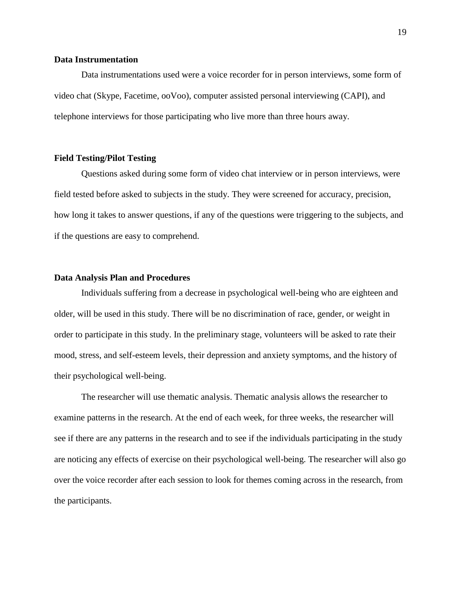#### <span id="page-18-0"></span>**Data Instrumentation**

Data instrumentations used were a voice recorder for in person interviews, some form of video chat (Skype, Facetime, ooVoo), computer assisted personal interviewing (CAPI), and telephone interviews for those participating who live more than three hours away.

#### <span id="page-18-1"></span>**Field Testing/Pilot Testing**

Questions asked during some form of video chat interview or in person interviews, were field tested before asked to subjects in the study. They were screened for accuracy, precision, how long it takes to answer questions, if any of the questions were triggering to the subjects, and if the questions are easy to comprehend.

#### <span id="page-18-2"></span>**Data Analysis Plan and Procedures**

Individuals suffering from a decrease in psychological well-being who are eighteen and older, will be used in this study. There will be no discrimination of race, gender, or weight in order to participate in this study. In the preliminary stage, volunteers will be asked to rate their mood, stress, and self-esteem levels, their depression and anxiety symptoms, and the history of their psychological well-being.

The researcher will use thematic analysis. Thematic analysis allows the researcher to examine patterns in the research. At the end of each week, for three weeks, the researcher will see if there are any patterns in the research and to see if the individuals participating in the study are noticing any effects of exercise on their psychological well-being. The researcher will also go over the voice recorder after each session to look for themes coming across in the research, from the participants.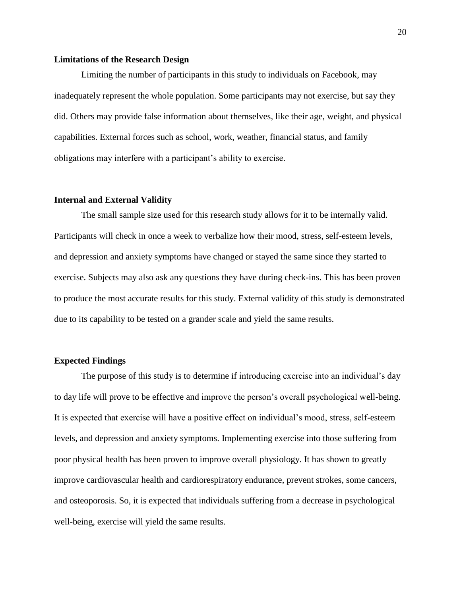#### <span id="page-19-0"></span>**Limitations of the Research Design**

Limiting the number of participants in this study to individuals on Facebook, may inadequately represent the whole population. Some participants may not exercise, but say they did. Others may provide false information about themselves, like their age, weight, and physical capabilities. External forces such as school, work, weather, financial status, and family obligations may interfere with a participant's ability to exercise.

#### <span id="page-19-1"></span>**Internal and External Validity**

The small sample size used for this research study allows for it to be internally valid. Participants will check in once a week to verbalize how their mood, stress, self-esteem levels, and depression and anxiety symptoms have changed or stayed the same since they started to exercise. Subjects may also ask any questions they have during check-ins. This has been proven to produce the most accurate results for this study. External validity of this study is demonstrated due to its capability to be tested on a grander scale and yield the same results.

#### <span id="page-19-2"></span>**Expected Findings**

The purpose of this study is to determine if introducing exercise into an individual's day to day life will prove to be effective and improve the person's overall psychological well-being. It is expected that exercise will have a positive effect on individual's mood, stress, self-esteem levels, and depression and anxiety symptoms. Implementing exercise into those suffering from poor physical health has been proven to improve overall physiology. It has shown to greatly improve cardiovascular health and cardiorespiratory endurance, prevent strokes, some cancers, and osteoporosis. So, it is expected that individuals suffering from a decrease in psychological well-being, exercise will yield the same results.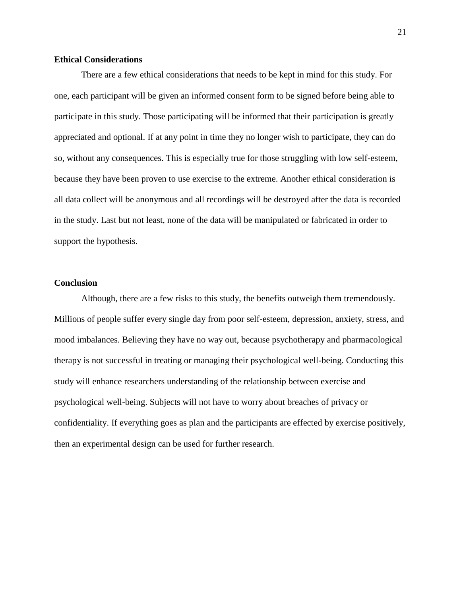# <span id="page-20-0"></span>**Ethical Considerations**

There are a few ethical considerations that needs to be kept in mind for this study. For one, each participant will be given an informed consent form to be signed before being able to participate in this study. Those participating will be informed that their participation is greatly appreciated and optional. If at any point in time they no longer wish to participate, they can do so, without any consequences. This is especially true for those struggling with low self-esteem, because they have been proven to use exercise to the extreme. Another ethical consideration is all data collect will be anonymous and all recordings will be destroyed after the data is recorded in the study. Last but not least, none of the data will be manipulated or fabricated in order to support the hypothesis.

## <span id="page-20-1"></span>**Conclusion**

Although, there are a few risks to this study, the benefits outweigh them tremendously. Millions of people suffer every single day from poor self-esteem, depression, anxiety, stress, and mood imbalances. Believing they have no way out, because psychotherapy and pharmacological therapy is not successful in treating or managing their psychological well-being. Conducting this study will enhance researchers understanding of the relationship between exercise and psychological well-being. Subjects will not have to worry about breaches of privacy or confidentiality. If everything goes as plan and the participants are effected by exercise positively, then an experimental design can be used for further research.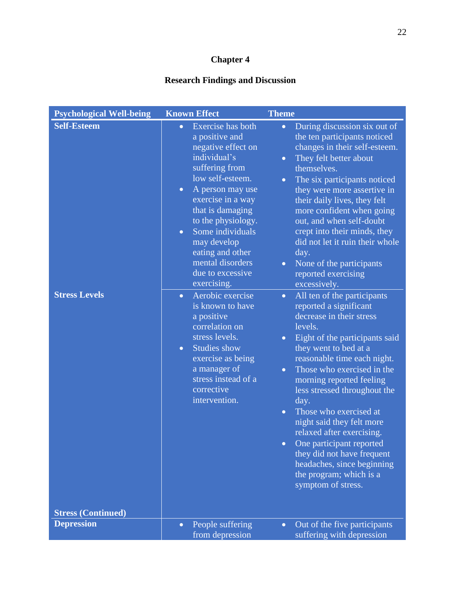# **Chapter 4**

# **Research Findings and Discussion**

<span id="page-21-0"></span>

| <b>Psychological Well-being</b>            | <b>Known Effect</b>                                                                                                                                                                                                                                                                                                                                                                                                                                                                                                                                                                           | <b>Theme</b>                                                                                                                                                                                                                                                                                                                                                                                                                                                                                                                                                                                                                                                                                                                                                                                                                                                                                                                                                                                                                                                                  |
|--------------------------------------------|-----------------------------------------------------------------------------------------------------------------------------------------------------------------------------------------------------------------------------------------------------------------------------------------------------------------------------------------------------------------------------------------------------------------------------------------------------------------------------------------------------------------------------------------------------------------------------------------------|-------------------------------------------------------------------------------------------------------------------------------------------------------------------------------------------------------------------------------------------------------------------------------------------------------------------------------------------------------------------------------------------------------------------------------------------------------------------------------------------------------------------------------------------------------------------------------------------------------------------------------------------------------------------------------------------------------------------------------------------------------------------------------------------------------------------------------------------------------------------------------------------------------------------------------------------------------------------------------------------------------------------------------------------------------------------------------|
| <b>Self-Esteem</b><br><b>Stress Levels</b> | Exercise has both<br>$\bullet$<br>a positive and<br>negative effect on<br>individual's<br>suffering from<br>low self-esteem.<br>A person may use<br>$\bullet$<br>exercise in a way<br>that is damaging<br>to the physiology.<br>Some individuals<br>$\bullet$<br>may develop<br>eating and other<br>mental disorders<br>due to excessive<br>exercising.<br>Aerobic exercise<br>$\bullet$<br>is known to have<br>a positive<br>correlation on<br>stress levels.<br><b>Studies show</b><br>$\bullet$<br>exercise as being<br>a manager of<br>stress instead of a<br>corrective<br>intervention. | During discussion six out of<br>$\bullet$<br>the ten participants noticed<br>changes in their self-esteem.<br>They felt better about<br>$\bullet$<br>themselves.<br>The six participants noticed<br>$\bullet$<br>they were more assertive in<br>their daily lives, they felt<br>more confident when going<br>out, and when self-doubt<br>crept into their minds, they<br>did not let it ruin their whole<br>day.<br>None of the participants<br>$\bullet$<br>reported exercising<br>excessively.<br>All ten of the participants<br>$\bullet$<br>reported a significant<br>decrease in their stress<br>levels.<br>Eight of the participants said<br>$\bullet$<br>they went to bed at a<br>reasonable time each night.<br>Those who exercised in the<br>$\bullet$<br>morning reported feeling<br>less stressed throughout the<br>day.<br>Those who exercised at<br>$\bullet$<br>night said they felt more<br>relaxed after exercising.<br>One participant reported<br>they did not have frequent<br>headaches, since beginning<br>the program; which is a<br>symptom of stress. |
| <b>Stress (Continued)</b>                  |                                                                                                                                                                                                                                                                                                                                                                                                                                                                                                                                                                                               |                                                                                                                                                                                                                                                                                                                                                                                                                                                                                                                                                                                                                                                                                                                                                                                                                                                                                                                                                                                                                                                                               |
| <b>Depression</b>                          | People suffering<br>$\bullet$<br>from depression                                                                                                                                                                                                                                                                                                                                                                                                                                                                                                                                              | Out of the five participants<br>$\bullet$<br>suffering with depression                                                                                                                                                                                                                                                                                                                                                                                                                                                                                                                                                                                                                                                                                                                                                                                                                                                                                                                                                                                                        |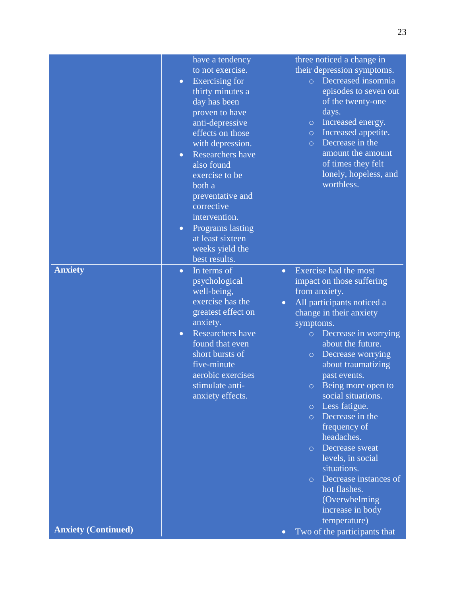|                            | have a tendency<br>to not exercise.<br>Exercising for<br>$\bullet$<br>thirty minutes a<br>day has been<br>proven to have<br>anti-depressive<br>effects on those<br>with depression.<br>Researchers have<br>$\bullet$<br>also found<br>exercise to be<br>both a<br>preventative and<br>corrective<br>intervention.<br>Programs lasting<br>$\bullet$<br>at least sixteen<br>weeks yield the<br>best results. | three noticed a change in<br>their depression symptoms.<br>Decreased insomnia<br>$\overline{O}$<br>episodes to seven out<br>of the twenty-one<br>days.<br>Increased energy.<br>$\circ$<br>Increased appetite.<br>$\circ$<br>Decrease in the<br>$\circ$<br>amount the amount<br>of times they felt<br>lonely, hopeless, and<br>worthless.                                                                                                                                                                                                                                                                          |
|----------------------------|------------------------------------------------------------------------------------------------------------------------------------------------------------------------------------------------------------------------------------------------------------------------------------------------------------------------------------------------------------------------------------------------------------|-------------------------------------------------------------------------------------------------------------------------------------------------------------------------------------------------------------------------------------------------------------------------------------------------------------------------------------------------------------------------------------------------------------------------------------------------------------------------------------------------------------------------------------------------------------------------------------------------------------------|
| <b>Anxiety</b>             | In terms of<br>$\bullet$<br>psychological<br>well-being,<br>exercise has the<br>greatest effect on<br>anxiety.<br>Researchers have<br>$\bullet$<br>found that even<br>short bursts of<br>five-minute<br>aerobic exercises<br>stimulate anti-<br>anxiety effects.                                                                                                                                           | Exercise had the most<br>$\bullet$<br>impact on those suffering<br>from anxiety.<br>All participants noticed a<br>$\bullet$<br>change in their anxiety<br>symptoms.<br>Decrease in worrying<br>$\circ$<br>about the future.<br>Decrease worrying<br>$\circ$<br>about traumatizing<br>past events.<br>o Being more open to<br>social situations.<br>Less fatigue.<br>$\circ$<br>Decrease in the<br>$\circ$<br>frequency of<br>headaches.<br>Decrease sweat<br>$\circ$<br>levels, in social<br>situations.<br>Decrease instances of<br>$\circ$<br>hot flashes.<br>(Overwhelming<br>increase in body<br>temperature) |
| <b>Anxiety (Continued)</b> |                                                                                                                                                                                                                                                                                                                                                                                                            | Two of the participants that<br>$\bullet$                                                                                                                                                                                                                                                                                                                                                                                                                                                                                                                                                                         |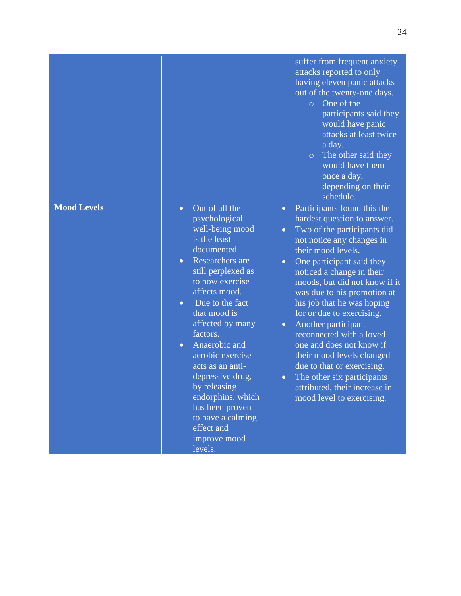|                    |                                                                                                                                                                                                                                                                                                                                                                                                                                                                                                                                                           | suffer from frequent anxiety<br>attacks reported to only<br>having eleven panic attacks<br>out of the twenty-one days.<br>One of the<br>$\circ$<br>participants said they<br>would have panic<br>attacks at least twice<br>a day.<br>The other said they<br>$\circ$<br>would have them<br>once a day,<br>depending on their<br>schedule.                                                                                                                                                                                                                                |
|--------------------|-----------------------------------------------------------------------------------------------------------------------------------------------------------------------------------------------------------------------------------------------------------------------------------------------------------------------------------------------------------------------------------------------------------------------------------------------------------------------------------------------------------------------------------------------------------|-------------------------------------------------------------------------------------------------------------------------------------------------------------------------------------------------------------------------------------------------------------------------------------------------------------------------------------------------------------------------------------------------------------------------------------------------------------------------------------------------------------------------------------------------------------------------|
| <b>Mood Levels</b> | Out of all the<br>$\bullet$<br>$\bullet$<br>psychological<br>well-being mood<br>$\bullet$<br>is the least<br>documented.<br>Researchers are<br>$\bullet$<br>$\bullet$<br>still perplexed as<br>to how exercise<br>affects mood.<br>Due to the fact<br>$\bullet$<br>that mood is<br>affected by many<br>$\bullet$<br>factors.<br>Anaerobic and<br>$\bullet$<br>aerobic exercise<br>acts as an anti-<br>depressive drug,<br>$\bullet$<br>by releasing<br>endorphins, which<br>has been proven<br>to have a calming<br>effect and<br>improve mood<br>levels. | Participants found this the<br>hardest question to answer.<br>Two of the participants did<br>not notice any changes in<br>their mood levels.<br>One participant said they<br>noticed a change in their<br>moods, but did not know if it<br>was due to his promotion at<br>his job that he was hoping<br>for or due to exercising.<br>Another participant<br>reconnected with a loved<br>one and does not know if<br>their mood levels changed<br>due to that or exercising.<br>The other six participants<br>attributed, their increase in<br>mood level to exercising. |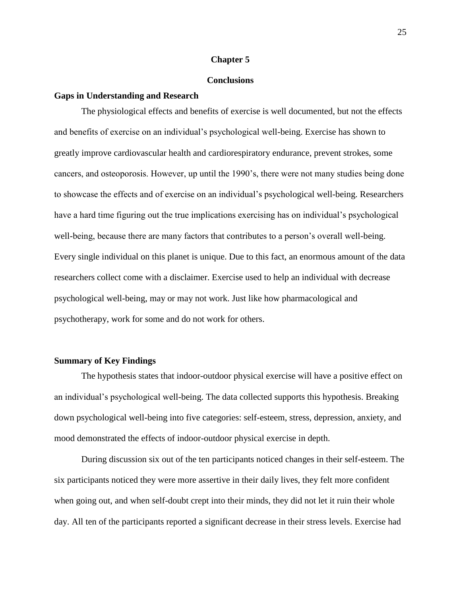#### **Chapter 5**

#### **Conclusions**

#### <span id="page-24-1"></span><span id="page-24-0"></span>**Gaps in Understanding and Research**

The physiological effects and benefits of exercise is well documented, but not the effects and benefits of exercise on an individual's psychological well-being. Exercise has shown to greatly improve cardiovascular health and cardiorespiratory endurance, prevent strokes, some cancers, and osteoporosis. However, up until the 1990's, there were not many studies being done to showcase the effects and of exercise on an individual's psychological well-being. Researchers have a hard time figuring out the true implications exercising has on individual's psychological well-being, because there are many factors that contributes to a person's overall well-being. Every single individual on this planet is unique. Due to this fact, an enormous amount of the data researchers collect come with a disclaimer. Exercise used to help an individual with decrease psychological well-being, may or may not work. Just like how pharmacological and psychotherapy, work for some and do not work for others.

#### <span id="page-24-2"></span>**Summary of Key Findings**

The hypothesis states that indoor-outdoor physical exercise will have a positive effect on an individual's psychological well-being. The data collected supports this hypothesis. Breaking down psychological well-being into five categories: self-esteem, stress, depression, anxiety, and mood demonstrated the effects of indoor-outdoor physical exercise in depth.

During discussion six out of the ten participants noticed changes in their self-esteem. The six participants noticed they were more assertive in their daily lives, they felt more confident when going out, and when self-doubt crept into their minds, they did not let it ruin their whole day. All ten of the participants reported a significant decrease in their stress levels. Exercise had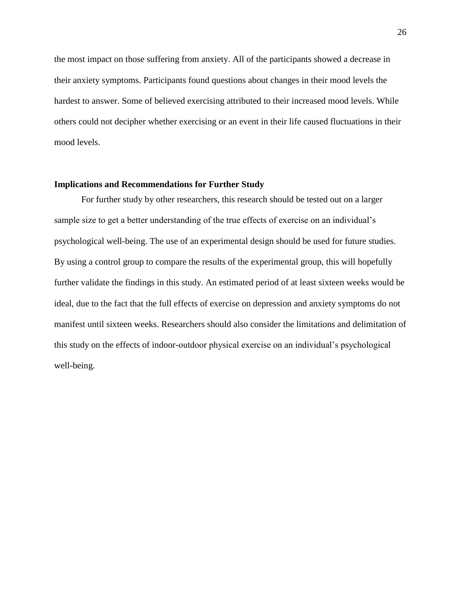the most impact on those suffering from anxiety. All of the participants showed a decrease in their anxiety symptoms. Participants found questions about changes in their mood levels the hardest to answer. Some of believed exercising attributed to their increased mood levels. While others could not decipher whether exercising or an event in their life caused fluctuations in their mood levels.

#### <span id="page-25-0"></span>**Implications and Recommendations for Further Study**

<span id="page-25-1"></span>For further study by other researchers, this research should be tested out on a larger sample size to get a better understanding of the true effects of exercise on an individual's psychological well-being. The use of an experimental design should be used for future studies. By using a control group to compare the results of the experimental group, this will hopefully further validate the findings in this study. An estimated period of at least sixteen weeks would be ideal, due to the fact that the full effects of exercise on depression and anxiety symptoms do not manifest until sixteen weeks. Researchers should also consider the limitations and delimitation of this study on the effects of indoor-outdoor physical exercise on an individual's psychological well-being.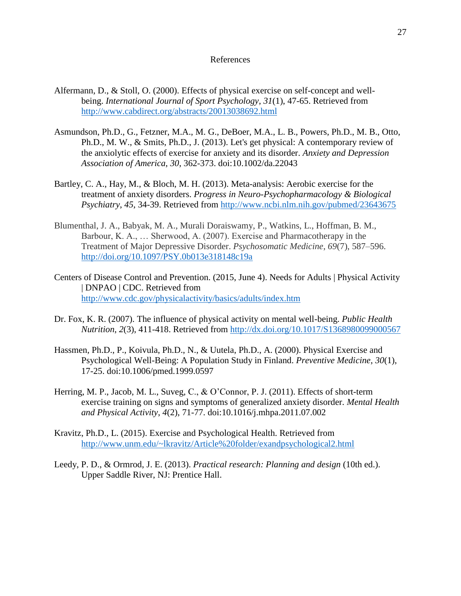#### References

- Alfermann, D., & Stoll, O. (2000). Effects of physical exercise on self-concept and wellbeing. *International Journal of Sport Psychology*, *31*(1), 47-65. Retrieved from <http://www.cabdirect.org/abstracts/20013038692.html>
- Asmundson, Ph.D., G., Fetzner, M.A., M. G., DeBoer, M.A., L. B., Powers, Ph.D., M. B., Otto, Ph.D., M. W., & Smits, Ph.D., J. (2013). Let's get physical: A contemporary review of the anxiolytic effects of exercise for anxiety and its disorder. *Anxiety and Depression Association of America*, *30*, 362-373. doi:10.1002/da.22043
- Bartley, C. A., Hay, M., & Bloch, M. H. (2013). Meta-analysis: Aerobic exercise for the treatment of anxiety disorders. *Progress in Neuro-Psychopharmacology & Biological Psychiatry*, *45*, 34-39. Retrieved from<http://www.ncbi.nlm.nih.gov/pubmed/23643675>
- Blumenthal, J. A., Babyak, M. A., Murali Doraiswamy, P., Watkins, L., Hoffman, B. M., Barbour, K. A., … Sherwood, A. (2007). Exercise and Pharmacotherapy in the Treatment of Major Depressive Disorder. *Psychosomatic Medicine*, *69*(7), 587–596. <http://doi.org/10.1097/PSY.0b013e318148c19a>
- Centers of Disease Control and Prevention. (2015, June 4). Needs for Adults | Physical Activity | DNPAO | CDC. Retrieved from <http://www.cdc.gov/physicalactivity/basics/adults/index.htm>
- Dr. Fox, K. R. (2007). The influence of physical activity on mental well-being. *Public Health Nutrition*, *2*(3), 411-418. Retrieved from<http://dx.doi.org/10.1017/S1368980099000567>
- Hassmen, Ph.D., P., Koivula, Ph.D., N., & Uutela, Ph.D., A. (2000). Physical Exercise and Psychological Well-Being: A Population Study in Finland. *Preventive Medicine*, *30*(1), 17-25. doi:10.1006/pmed.1999.0597
- Herring, M. P., Jacob, M. L., Suveg, C., & O'Connor, P. J. (2011). Effects of short-term exercise training on signs and symptoms of generalized anxiety disorder. *Mental Health and Physical Activity*, *4*(2), 71-77. doi:10.1016/j.mhpa.2011.07.002
- Kravitz, Ph.D., L. (2015). Exercise and Psychological Health. Retrieved from <http://www.unm.edu/~lkravitz/Article%20folder/exandpsychological2.html>
- Leedy, P. D., & Ormrod, J. E. (2013). *Practical research: Planning and design* (10th ed.). Upper Saddle River, NJ: Prentice Hall.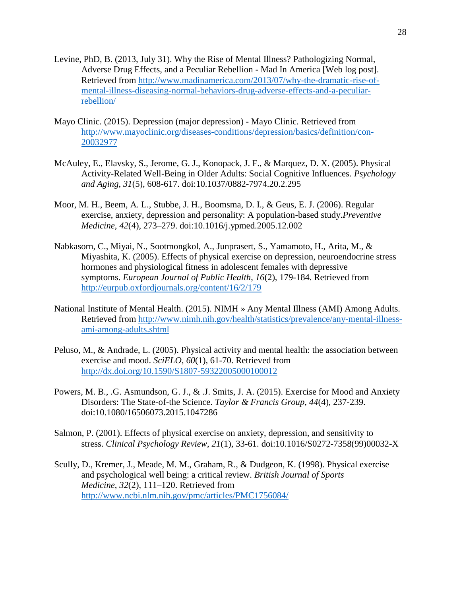- Levine, PhD, B. (2013, July 31). Why the Rise of Mental Illness? Pathologizing Normal, Adverse Drug Effects, and a Peculiar Rebellion - Mad In America [Web log post]. Retrieved from [http://www.madinamerica.com/2013/07/why-the-dramatic-rise-of](http://www.madinamerica.com/2013/07/why-the-dramatic-rise-of-mental-illness-diseasing-normal-behaviors-drug-adverse-effects-and-a-peculiar-rebellion/)[mental-illness-diseasing-normal-behaviors-drug-adverse-effects-and-a-peculiar](http://www.madinamerica.com/2013/07/why-the-dramatic-rise-of-mental-illness-diseasing-normal-behaviors-drug-adverse-effects-and-a-peculiar-rebellion/)[rebellion/](http://www.madinamerica.com/2013/07/why-the-dramatic-rise-of-mental-illness-diseasing-normal-behaviors-drug-adverse-effects-and-a-peculiar-rebellion/)
- Mayo Clinic. (2015). Depression (major depression) Mayo Clinic. Retrieved from [http://www.mayoclinic.org/diseases-conditions/depression/basics/definition/con-](http://www.mayoclinic.org/diseases-conditions/depression/basics/definition/con-20032977)[20032977](http://www.mayoclinic.org/diseases-conditions/depression/basics/definition/con-20032977)
- McAuley, E., Elavsky, S., Jerome, G. J., Konopack, J. F., & Marquez, D. X. (2005). Physical Activity-Related Well-Being in Older Adults: Social Cognitive Influences. *Psychology and Aging*, *31*(5), 608-617. doi:10.1037/0882-7974.20.2.295
- Moor, M. H., Beem, A. L., Stubbe, J. H., Boomsma, D. I., & Geus, E. J. (2006). Regular exercise, anxiety, depression and personality: A population-based study.*Preventive Medicine*, *42*(4), 273–279. doi:10.1016/j.ypmed.2005.12.002
- Nabkasorn, C., Miyai, N., Sootmongkol, A., Junprasert, S., Yamamoto, H., Arita, M., & Miyashita, K. (2005). Effects of physical exercise on depression, neuroendocrine stress hormones and physiological fitness in adolescent females with depressive symptoms. *European Journal of Public Health*, *16*(2), 179-184. Retrieved from <http://eurpub.oxfordjournals.org/content/16/2/179>
- National Institute of Mental Health. (2015). NIMH » Any Mental Illness (AMI) Among Adults. Retrieved from [http://www.nimh.nih.gov/health/statistics/prevalence/any-mental-illness](http://www.nimh.nih.gov/health/statistics/prevalence/any-mental-illness-ami-among-adults.shtml)[ami-among-adults.shtml](http://www.nimh.nih.gov/health/statistics/prevalence/any-mental-illness-ami-among-adults.shtml)
- Peluso, M., & Andrade, L. (2005). Physical activity and mental health: the association between exercise and mood. *SciELO*, *60*(1), 61-70. Retrieved from <http://dx.doi.org/10.1590/S1807-59322005000100012>
- Powers, M. B., .G. Asmundson, G. J., & .J. Smits, J. A. (2015). Exercise for Mood and Anxiety Disorders: The State-of-the Science. *Taylor & Francis Group*, *44*(4), 237-239. doi:10.1080/16506073.2015.1047286
- Salmon, P. (2001). Effects of physical exercise on anxiety, depression, and sensitivity to stress. *Clinical Psychology Review*, *21*(1), 33-61. doi:10.1016/S0272-7358(99)00032-X
- Scully, D., Kremer, J., Meade, M. M., Graham, R., & Dudgeon, K. (1998). Physical exercise and psychological well being: a critical review. *British Journal of Sports Medicine*, *32*(2), 111–120. Retrieved from <http://www.ncbi.nlm.nih.gov/pmc/articles/PMC1756084/>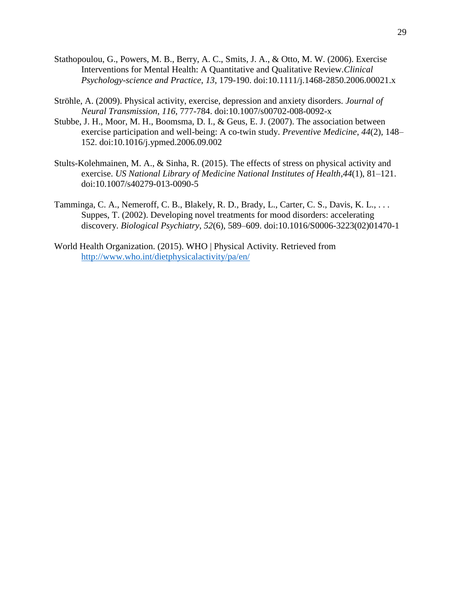- Stathopoulou, G., Powers, M. B., Berry, A. C., Smits, J. A., & Otto, M. W. (2006). Exercise Interventions for Mental Health: A Quantitative and Qualitative Review.*Clinical Psychology-science and Practice*, *13*, 179-190. doi:10.1111/j.1468-2850.2006.00021.x
- Ströhle, A. (2009). Physical activity, exercise, depression and anxiety disorders. *Journal of Neural Transmission*, *116*, 777-784. doi:10.1007/s00702-008-0092-x
- Stubbe, J. H., Moor, M. H., Boomsma, D. I., & Geus, E. J. (2007). The association between exercise participation and well-being: A co-twin study. *Preventive Medicine*, *44*(2), 148– 152. doi:10.1016/j.ypmed.2006.09.002
- Stults-Kolehmainen, M. A., & Sinha, R. (2015). The effects of stress on physical activity and exercise. *US National Library of Medicine National Institutes of Health*,*44*(1), 81–121. doi:10.1007/s40279-013-0090-5
- Tamminga, C. A., Nemeroff, C. B., Blakely, R. D., Brady, L., Carter, C. S., Davis, K. L., . . . Suppes, T. (2002). Developing novel treatments for mood disorders: accelerating discovery. *Biological Psychiatry*, *52*(6), 589–609. doi:10.1016/S0006-3223(02)01470-1
- <span id="page-28-0"></span>World Health Organization. (2015). WHO | Physical Activity. Retrieved from <http://www.who.int/dietphysicalactivity/pa/en/>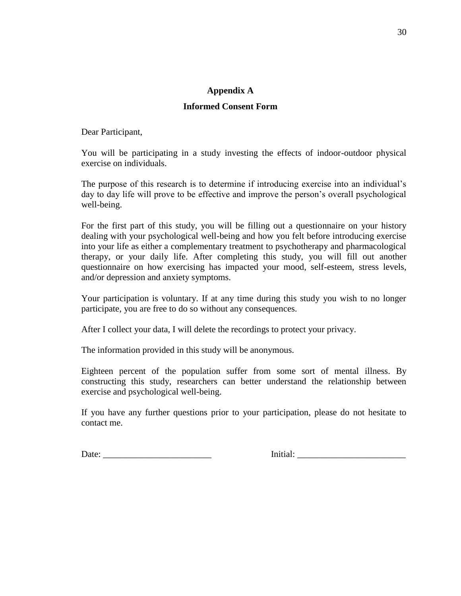# **Appendix A**

# **Informed Consent Form**

<span id="page-29-0"></span>Dear Participant,

You will be participating in a study investing the effects of indoor-outdoor physical exercise on individuals.

The purpose of this research is to determine if introducing exercise into an individual's day to day life will prove to be effective and improve the person's overall psychological well-being.

For the first part of this study, you will be filling out a questionnaire on your history dealing with your psychological well-being and how you felt before introducing exercise into your life as either a complementary treatment to psychotherapy and pharmacological therapy, or your daily life. After completing this study, you will fill out another questionnaire on how exercising has impacted your mood, self-esteem, stress levels, and/or depression and anxiety symptoms.

Your participation is voluntary. If at any time during this study you wish to no longer participate, you are free to do so without any consequences.

After I collect your data, I will delete the recordings to protect your privacy.

The information provided in this study will be anonymous.

Eighteen percent of the population suffer from some sort of mental illness. By constructing this study, researchers can better understand the relationship between exercise and psychological well-being.

If you have any further questions prior to your participation, please do not hesitate to contact me.

Date: \_\_\_\_\_\_\_\_\_\_\_\_\_\_\_\_\_\_\_\_\_\_\_\_ Initial: \_\_\_\_\_\_\_\_\_\_\_\_\_\_\_\_\_\_\_\_\_\_\_\_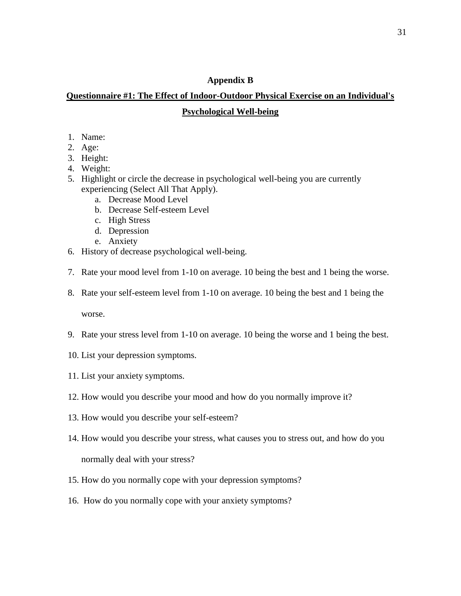# **Appendix B**

# <span id="page-30-1"></span><span id="page-30-0"></span>**Questionnaire #1: The Effect of Indoor-Outdoor Physical Exercise on an Individual's Psychological Well-being**

- 1. Name:
- 2. Age:
- 3. Height:
- 4. Weight:
- 5. Highlight or circle the decrease in psychological well-being you are currently experiencing (Select All That Apply).
	- a. Decrease Mood Level
	- b. Decrease Self-esteem Level
	- c. High Stress
	- d. Depression
	- e. Anxiety
- 6. History of decrease psychological well-being.
- 7. Rate your mood level from 1-10 on average. 10 being the best and 1 being the worse.
- 8. Rate your self-esteem level from 1-10 on average. 10 being the best and 1 being the

worse.

- 9. Rate your stress level from 1-10 on average. 10 being the worse and 1 being the best.
- 10. List your depression symptoms.
- 11. List your anxiety symptoms.
- 12. How would you describe your mood and how do you normally improve it?
- 13. How would you describe your self-esteem?
- 14. How would you describe your stress, what causes you to stress out, and how do you normally deal with your stress?
- 15. How do you normally cope with your depression symptoms?
- 16. How do you normally cope with your anxiety symptoms?